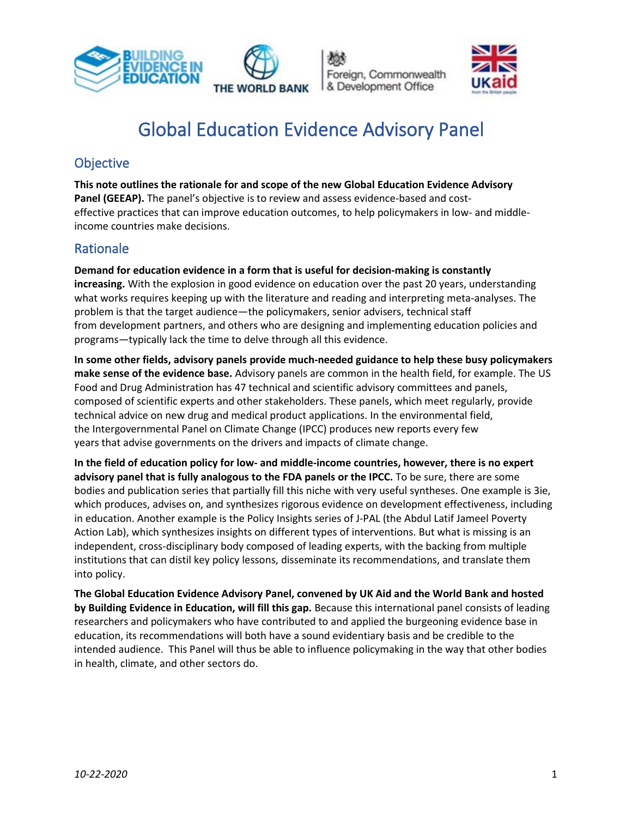





# Global Education Evidence Advisory Panel

# **Objective**

**This note outlines the rationale for and scope of the new Global Education Evidence Advisory Panel (GEEAP).** The panel's objective is to review and assess evidence-based and costeffective practices that can improve education outcomes, to help policymakers in low- and middleincome countries make decisions.

# Rationale

**Demand for education evidence in a form that is useful for decision-making is constantly increasing.** With the explosion in good evidence on education over the past 20 years, understanding what works requires keeping up with the literature and reading and interpreting meta-analyses. The problem is that the target audience—the policymakers, senior advisers, technical staff from development partners, and others who are designing and implementing education policies and programs—typically lack the time to delve through all this evidence.

**In some other fields, advisory panels provide much-needed guidance to help these busy policymakers make sense of the evidence base.** Advisory panels are common in the health field, for example. The US Food and Drug Administration has 47 technical and scientific advisory committees and panels, composed of scientific experts and other stakeholders. These panels, which meet regularly, provide technical advice on new drug and medical product applications. In the environmental field, the Intergovernmental Panel on Climate Change (IPCC) produces new reports every few years that advise governments on the drivers and impacts of climate change.

**In the field of education policy for low- and middle-income countries, however, there is no expert advisory panel that is fully analogous to the FDA panels or the IPCC.** To be sure, there are some bodies and publication series that partially fill this niche with very useful syntheses. One example is 3ie, which produces, advises on, and synthesizes rigorous evidence on development effectiveness, including in education. Another example is the Policy Insights series of J-PAL (the Abdul Latif Jameel Poverty Action Lab), which synthesizes insights on different types of interventions. But what is missing is an independent, cross-disciplinary body composed of leading experts, with the backing from multiple institutions that can distil key policy lessons, disseminate its recommendations, and translate them into policy.

**The Global Education Evidence Advisory Panel, convened by UK Aid and the World Bank and hosted by Building Evidence in Education, will fill this gap.** Because this international panel consists of leading researchers and policymakers who have contributed to and applied the burgeoning evidence base in education, its recommendations will both have a sound evidentiary basis and be credible to the intended audience. This Panel will thus be able to influence policymaking in the way that other bodies in health, climate, and other sectors do.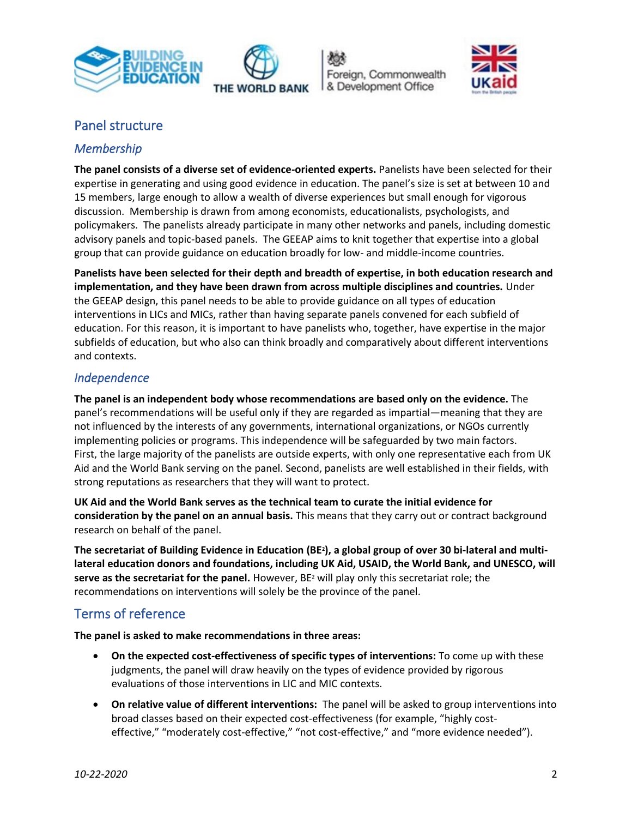







## Panel structure

### *Membership*

**The panel consists of a diverse set of evidence-oriented experts.** Panelists have been selected for their expertise in generating and using good evidence in education. The panel's size is set at between 10 and 15 members, large enough to allow a wealth of diverse experiences but small enough for vigorous discussion. Membership is drawn from among economists, educationalists, psychologists, and policymakers. The panelists already participate in many other networks and panels, including domestic advisory panels and topic-based panels. The GEEAP aims to knit together that expertise into a global group that can provide guidance on education broadly for low- and middle-income countries.

**Panelists have been selected for their depth and breadth of expertise, in both education research and implementation, and they have been drawn from across multiple disciplines and countries.** Under the GEEAP design, this panel needs to be able to provide guidance on all types of education interventions in LICs and MICs, rather than having separate panels convened for each subfield of education. For this reason, it is important to have panelists who, together, have expertise in the major subfields of education, but who also can think broadly and comparatively about different interventions and contexts.

#### *Independence*

**The panel is an independent body whose recommendations are based only on the evidence.** The panel's recommendations will be useful only if they are regarded as impartial—meaning that they are not influenced by the interests of any governments, international organizations, or NGOs currently implementing policies or programs. This independence will be safeguarded by two main factors. First, the large majority of the panelists are outside experts, with only one representative each from UK Aid and the World Bank serving on the panel. Second, panelists are well established in their fields, with strong reputations as researchers that they will want to protect.

**UK Aid and the World Bank serves as the technical team to curate the initial evidence for consideration by the panel on an annual basis.** This means that they carry out or contract background research on behalf of the panel.

**The secretariat of Building Evidence in Education (BE2), a global group of over 30 bi-lateral and multilateral education donors and foundations, including UK Aid, USAID, the World Bank, and UNESCO, will serve as the secretariat for the panel.** However, BE<sup>2</sup> will play only this secretariat role; the recommendations on interventions will solely be the province of the panel.

# Terms of reference

**The panel is asked to make recommendations in three areas:**

- **On the expected cost-effectiveness of specific types of interventions:** To come up with these judgments, the panel will draw heavily on the types of evidence provided by rigorous evaluations of those interventions in LIC and MIC contexts.
- **On relative value of different interventions:** The panel will be asked to group interventions into broad classes based on their expected cost-effectiveness (for example, "highly costeffective," "moderately cost-effective," "not cost-effective," and "more evidence needed").